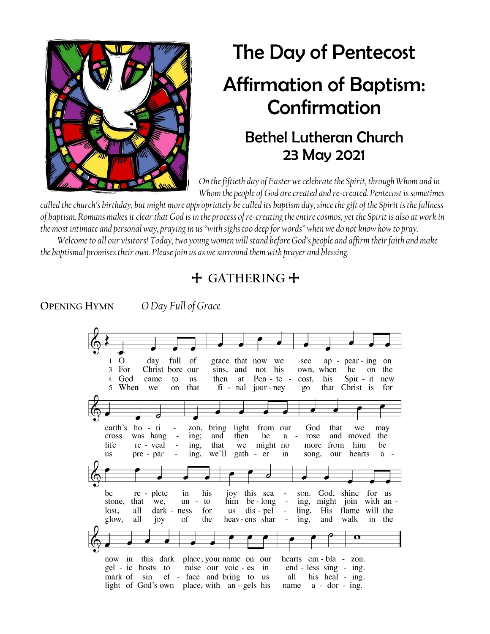

# The Day of Pentecost Affirmation of Baptism: Confirmation

## Bethel Lutheran Church 23 May 2021

*On the fiftieth day of Easter we celebrate the Spirit, through Whom and in Whom the people of God are created and re-created. Pentecost is sometimes* 

*called the church's birthday; but might more appropriately be called its baptism day, since the gift of the Spirit is the fullness of baptism. Romans makes it clear that God is in the process of re-creating the entire cosmos; yet the Spirit is also at work in the most intimate and personal way, praying in us "with sighs too deep for words" when we do not know how to pray.*

*Welcome to all our visitors! Today, two young women will stand before God's people and affirm their faith and make the baptismal promises their own. Please join us as we surround them with prayer and blessing.*



**OPENING HYMN** *O Day Full of Grace*

| O<br>1   | day                                                 | full                     | of                             | grace that now         |               | we                           | see                              |           | $ap - pear - ing$                    |           | on        |
|----------|-----------------------------------------------------|--------------------------|--------------------------------|------------------------|---------------|------------------------------|----------------------------------|-----------|--------------------------------------|-----------|-----------|
| 3<br>For |                                                     | Christ bore              | our                            | sins,<br>and           | not           | his                          |                                  | own, when | he                                   | on        | the       |
| God<br>4 | came                                                | to                       | <b>us</b>                      | then<br>at             |               | Pen - te -                   | cost,                            | his       | $Spir - it$                          |           | new       |
| 5        | When                                                |                          |                                |                        |               |                              |                                  |           |                                      |           | for       |
|          | we                                                  | on                       | that                           | $fi$ - $nal$           | jour - ney    |                              | go                               | that      | Christ is                            |           |           |
|          |                                                     |                          |                                |                        |               |                              |                                  |           |                                      |           |           |
|          |                                                     |                          |                                |                        |               |                              |                                  |           |                                      |           |           |
|          |                                                     |                          |                                |                        |               |                              |                                  |           |                                      |           |           |
|          |                                                     |                          |                                |                        |               |                              |                                  |           |                                      |           |           |
| earth's  | $ho -$<br>- ri                                      | $\overline{\phantom{0}}$ | zon,                           | light<br>bring         | from          | our                          | God                              | that      | we                                   | may       |           |
| cross    | was hang                                            | $\overline{\phantom{a}}$ | ing;                           | then<br>and            | he            | a                            | rose<br>$\overline{\phantom{a}}$ | and       | moved                                | the       |           |
| life     | re - veal                                           | $\overline{\phantom{a}}$ | ing,                           | that<br>we             | might         | no                           | more                             | from      | him                                  | be        |           |
| us       | pre - par                                           | $\overline{\phantom{a}}$ | ing,                           | we'll                  | gath - er     | in                           | song,                            | our       | hearts                               |           | $a -$     |
|          |                                                     |                          |                                |                        |               |                              |                                  |           |                                      |           |           |
|          |                                                     |                          |                                |                        |               |                              |                                  |           |                                      |           |           |
|          |                                                     |                          |                                |                        |               |                              |                                  |           |                                      |           |           |
|          |                                                     |                          |                                |                        |               |                              |                                  |           |                                      |           |           |
|          |                                                     |                          |                                |                        |               |                              |                                  |           |                                      |           |           |
|          |                                                     |                          |                                |                        |               |                              |                                  |           |                                      |           |           |
| be       | re - plete                                          | in                       | his                            | joy                    | this sea      | $\overline{\phantom{a}}$     | son.                             | God.      | shine                                | for       | <b>us</b> |
| stone,   | that<br>we,                                         | un                       | to<br>$\overline{\phantom{a}}$ | him                    | be - long     | $\overline{\phantom{0}}$     | ing,                             | might     | join                                 | with an - |           |
| lost.    | all                                                 | dark - ness              | for                            | <b>us</b>              | dis - pel     | $\overline{\phantom{0}}$     | ling.                            | His       | flame                                | will the  |           |
| glow,    | all<br>joy                                          | of                       | the                            |                        | heav-ens shar | $\qquad \qquad \blacksquare$ | ing,                             | and       | walk                                 | in        | the       |
|          |                                                     |                          |                                |                        |               |                              |                                  |           |                                      |           |           |
|          |                                                     |                          |                                |                        |               |                              |                                  |           | $\mathbf \sigma$                     |           |           |
|          |                                                     |                          |                                |                        |               |                              |                                  |           |                                      |           |           |
|          |                                                     |                          |                                |                        |               |                              |                                  |           |                                      |           |           |
| now      | this dark<br>in                                     |                          |                                | place; your name on    | our           |                              |                                  |           | hearts em - bla - zon.               |           |           |
| gel - ic | hosts                                               | to                       |                                | raise our voic - es    | in            |                              |                                  |           |                                      |           |           |
|          |                                                     |                          |                                |                        |               |                              |                                  |           | $end - less sing - ing.$             |           |           |
| mark of  | sin<br>light of God's own place, with an - gels his |                          |                                | ef - face and bring to | us            | all<br>name                  |                                  |           | his heal - ing.<br>$a - dor - ing$ . |           |           |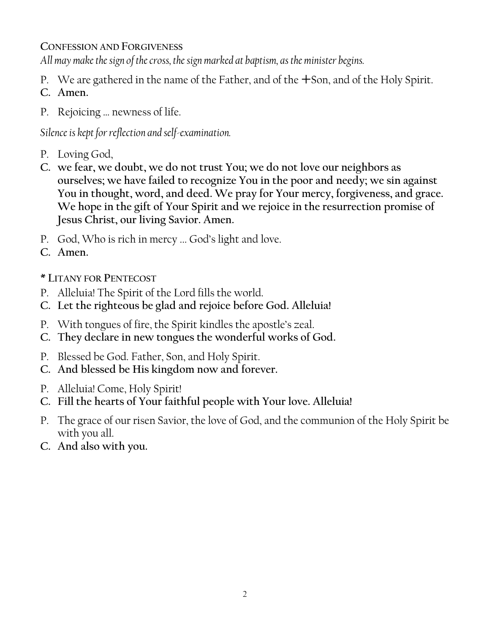#### **CONFESSION AND FORGIVENESS**

*All may make the sign of the cross, the sign marked at baptism, as the minister begins.*

- P. We are gathered in the name of the Father, and of the  $+$ Son, and of the Holy Spirit.
- **C. Amen.**
- P. Rejoicing … newness of life.

*Silence is kept for reflection and self-examination.*

- P. Loving God,
- **C. we fear, we doubt, we do not trust You; we do not love our neighbors as ourselves; we have failed to recognize You in the poor and needy; we sin against You in thought, word, and deed. We pray for Your mercy, forgiveness, and grace. We hope in the gift of Your Spirit and we rejoice in the resurrection promise of Jesus Christ, our living Savior. Amen.**
- P. God, Who is rich in mercy ... God's light and love.
- **C. Amen.**

**\* LITANY FOR PENTECOST**

- P. Alleluia! The Spirit of the Lord fills the world.
- **C. Let the righteous be glad and rejoice before God. Alleluia!**
- P. With tongues of fire, the Spirit kindles the apostle's zeal.
- **C. They declare in new tongues the wonderful works of God.**
- P. Blessed be God. Father, Son, and Holy Spirit.
- **C. And blessed be His kingdom now and forever.**
- P. Alleluia! Come, Holy Spirit!
- **C. Fill the hearts of Your faithful people with Your love. Alleluia!**
- P. The grace of our risen Savior, the love of God, and the communion of the Holy Spirit be with you all.
- **C. And also with you.**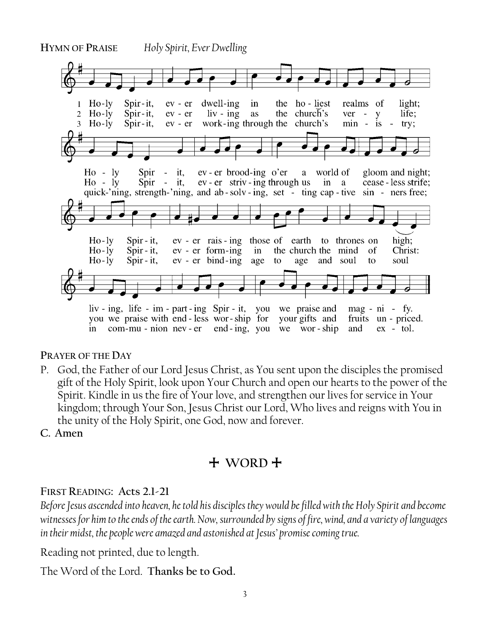

#### **PRAYER OF THE DAY**

- P. God, the Father of our Lord Jesus Christ, as You sent upon the disciples the promised gift of the Holy Spirit, look upon Your Church and open our hearts to the power of the Spirit. Kindle in us the fire of Your love, and strengthen our lives for service in Your kingdom; through Your Son, Jesus Christ our Lord, Who lives and reigns with You in the unity of the Holy Spirit, one God, now and forever.
- **C. Amen**

### + **WORD** +

#### **FIRST READING: Acts 2.1-21**

*Before Jesus ascended into heaven, he told his disciples they would be filled with the Holy Spirit and become witnesses for him to the ends of the earth. Now, surrounded by signs of fire, wind, and a variety of languages in their midst, the people were amazed and astonished at Jesus' promise coming true.* .<br>.

Reading not printed, due to length.

The Word of the Lord. **Thanks be to God.**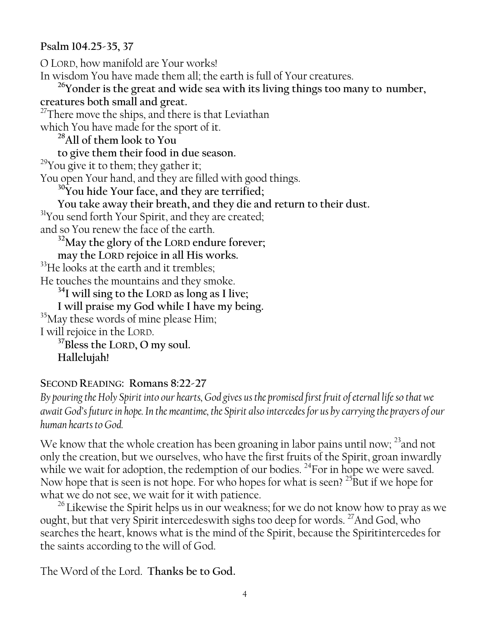#### **Psalm 104.25-35, 37**

O LORD, how manifold are Your works! In wisdom You have made them all; the earth is full of Your creatures. **<sup>26</sup>Yonder is the great and wide sea with its living things too many to number, creatures both small and great.** <sup>27</sup>There move the ships, and there is that Leviathan which You have made for the sport of it. **<sup>28</sup>All of them look to You to give them their food in due season.**   $29$ You give it to them; they gather it; You open Your hand, and they are filled with good things. **<sup>30</sup>You hide Your face, and they are terrified; You take away their breath, and they die and return to their dust.** <sup>31</sup>You send forth Your Spirit, and they are created; and so You renew the face of the earth. **<sup>32</sup>May the glory of the LORD endure forever; may the LORD rejoice in all His works.**  <sup>33</sup>He looks at the earth and it trembles; He touches the mountains and they smoke. **<sup>34</sup>I will sing to the LORD as long as I live; I will praise my God while I have my being.** <sup>35</sup>May these words of mine please Him; I will rejoice in the LORD. **<sup>37</sup>Bless the LORD, O my soul. Hallelujah!**

#### **SECOND READING: Romans 8:22-27**

*By pouring the Holy Spirit into our hearts, God gives us the promised first fruit of eternal life so that we await God's future in hope. In the meantime, the Spirit also intercedes for us by carrying the prayers of our human hearts to God.*

We know that the whole creation has been groaning in labor pains until now;<sup>23</sup>and not only the creation, but we ourselves, who have the first fruits of the Spirit, groan inwardly while we wait for adoption, the redemption of our bodies. <sup>24</sup>For in hope we were saved. Now hope that is seen is not hope. For who hopes for what is seen? <sup>25</sup>But if we hope for what we do not see, we wait for it with patience.

 $26$  Likewise the Spirit helps us in our weakness; for we do not know how to pray as we ought, but that very Spirit intercedeswith sighs too deep for words. <sup>27</sup>And God, who searches the heart, knows what is the mind of the Spirit, because the Spiritintercedes for the saints according to the will of God.

The Word of the Lord. **Thanks be to God.**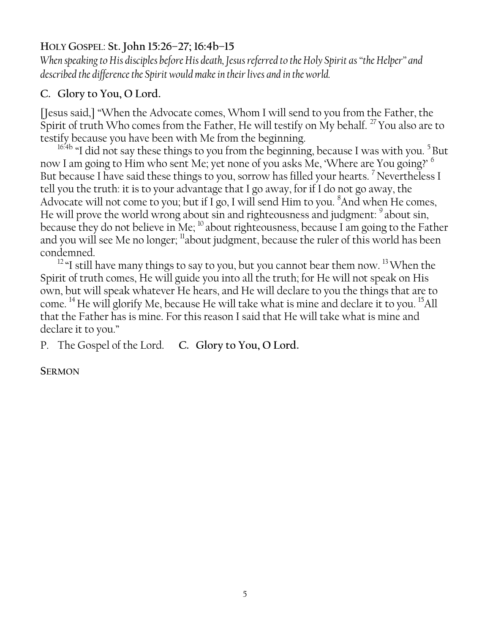#### **HOLY GOSPEL**: **St. John 15:26–27; 16:4b–15**

*When speaking to His disciples before His death, Jesus referred to the Holy Spirit as "the Helper" and described the difference the Spirit would make in their lives and in the world.*

#### **C. Glory to You, O Lord.**

[Jesus said,] "When the Advocate comes, Whom I will send to you from the Father, the Spirit of truth Who comes from the Father, He will testify on My behalf.<sup>27</sup> You also are to testify because you have been with Me from the beginning.

 $16.4b$  "I did not say these things to you from the beginning, because I was with you.<sup>5</sup> But now I am going to Him who sent Me; yet none of you asks Me, 'Where are You going?' <sup>6</sup> But because I have said these things to you, sorrow has filled your hearts.<sup>7</sup> Nevertheless I tell you the truth: it is to your advantage that I go away, for if I do not go away, the Advocate will not come to you; but if I go, I will send Him to you.  $8$ And when He comes, He will prove the world wrong about sin and righteousness and judgment: <sup>9</sup> about sin, because they do not believe in Me;  $^{10}$  about righteousness, because I am going to the Father and you will see Me no longer; <sup>11</sup>about judgment, because the ruler of this world has been condemned.

<sup>12</sup> "I still have many things to say to you, but you cannot bear them now.<sup>13</sup> When the Spirit of truth comes, He will guide you into all the truth; for He will not speak on His own, but will speak whatever He hears, and He will declare to you the things that are to come. <sup>14</sup> He will glorify Me, because He will take what is mine and declare it to you. <sup>15</sup>All that the Father has is mine. For this reason I said that He will take what is mine and declare it to you."

P. The Gospel of the Lord. **C. Glory to You, O Lord.**

**SERMON**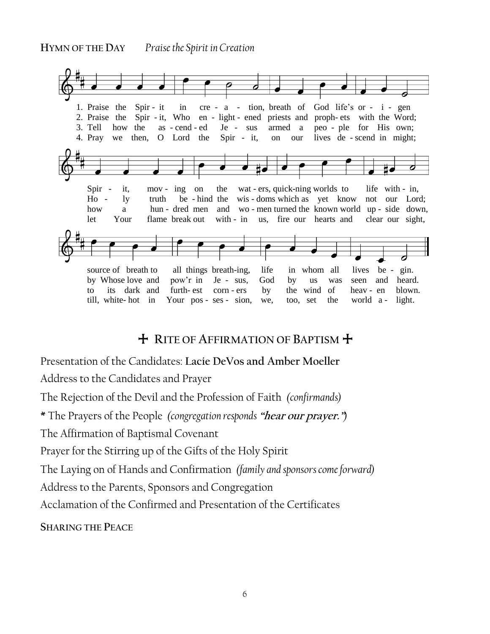

#### + **RITE OF AFFIRMATION OF BAPTISM** +

Presentation of the Candidates: **Lacie DeVos and Amber Moeller** 

Address to the Candidates and Prayer

The Rejection of the Devil and the Profession of Faith *(confirmands)*

**\*** The Prayers of the People *(congregation responds* **"hear our prayer."***)*

The Affirmation of Baptismal Covenant

Prayer for the Stirring up of the Gifts of the Holy Spirit

The Laying on of Hands and Confirmation *(family and sponsors come forward)*

Address to the Parents, Sponsors and Congregation

Acclamation of the Confirmed and Presentation of the Certificates

**SHARING THE PEACE**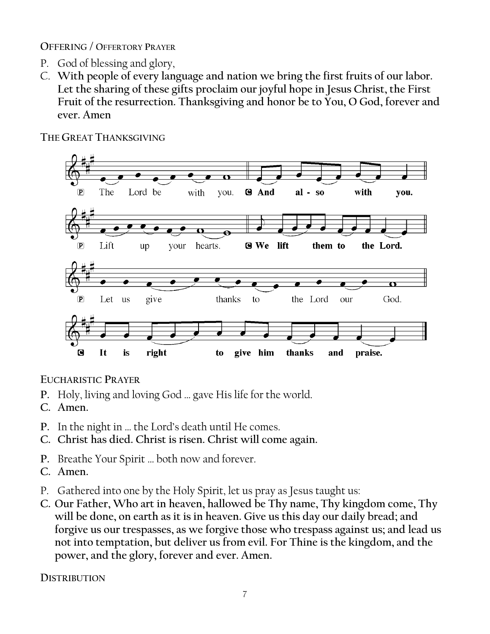**OFFERING / OFFERTORY PRAYER**

- P. God of blessing and glory,
- C. **With people of every language and nation we bring the first fruits of our labor. Let the sharing of these gifts proclaim our joyful hope in Jesus Christ, the First Fruit of the resurrection. Thanksgiving and honor be to You, O God, forever and ever. Amen**



**THE GREAT THANKSGIVING**

**EUCHARISTIC PRAYER**

- **P.** Holy, living and loving God … gave His life for the world.
- **C. Amen.**
- **P.** In the night in … the Lord's death until He comes.
- **C. Christ has died. Christ is risen. Christ will come again.**
- **P.** Breathe Your Spirit … both now and forever.
- **C. Amen.**
- P. Gathered into one by the Holy Spirit, let us pray as Jesus taught us:
- **C. Our Father, Who art in heaven, hallowed be Thy name, Thy kingdom come, Thy will be done, on earth as it is in heaven. Give us this day our daily bread; and forgive us our trespasses, as we forgive those who trespass against us; and lead us not into temptation, but deliver us from evil. For Thine is the kingdom, and the power, and the glory, forever and ever. Amen.**

**DISTRIBUTION**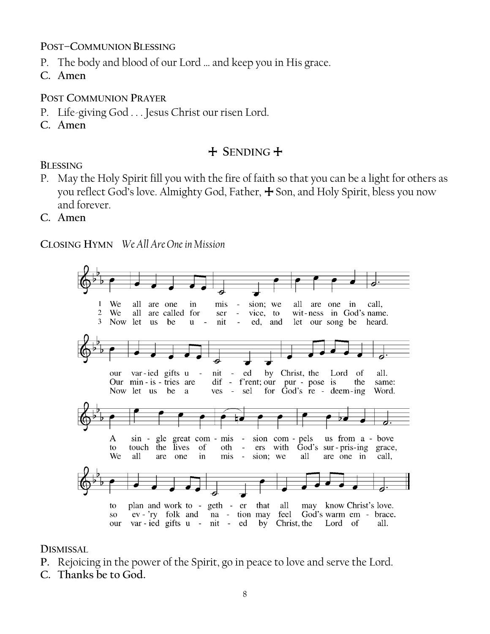**POST–COMMUNION BLESSING**

- P. The body and blood of our Lord … and keep you in His grace.
- **C. Amen**

**POST COMMUNION PRAYER**

- P. Life-giving God . . . Jesus Christ our risen Lord.
- **C. Amen**

#### + **SENDING** +

#### **BLESSING**

- P. May the Holy Spirit fill you with the fire of faith so that you can be a light for others as you reflect God's love. Almighty God, Father,  $\pm$  Son, and Holy Spirit, bless you now and forever.
- **C. Amen**

**CLOSING HYMN** *We All Are One in Mission*



**DISMISSAL**

- **P.** Rejoicing in the power of the Spirit, go in peace to love and serve the Lord.
- **C. Thanks be to God.**